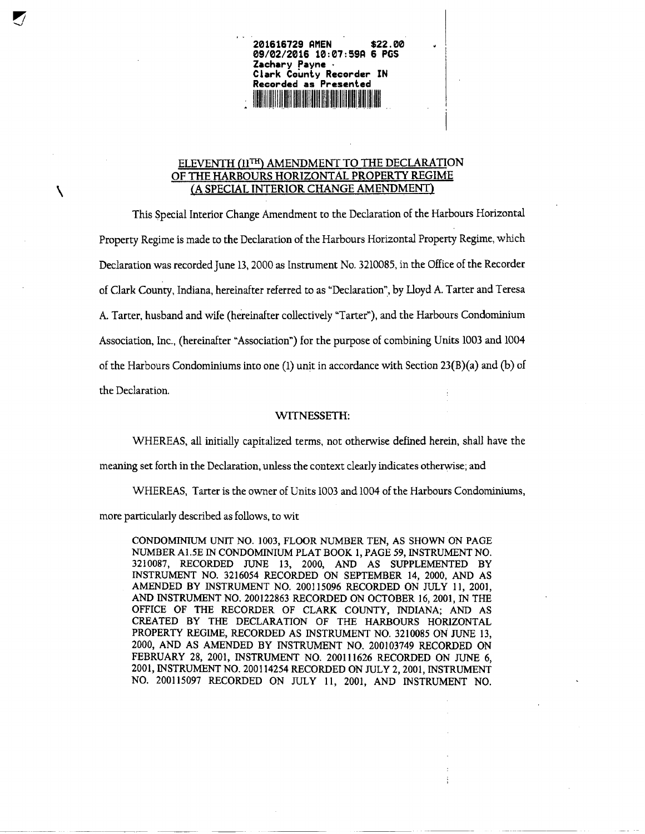**Clark County Recorder IN Recorded as Presented** <u>Alian III din kata ing ka</u>

**201616729 AMEN \$22.00 09/02/2016 10:07:59P 6 PCS**

**Zachary Payne •**

## ELEVENTH *(11™)* AMENDMENT TO THE DECLARATION OF THE HARBOURS HORIZONTAL PROPERTY REGIME \A SPECIAL INTERIOR CHANGE AMENDMENT)

This Special Interior Change Amendment to the Declaration of the Harbours Horizontal Property Regime is made to the Declaration of the Harbours Horizontal Property Regime, which Declaration was recorded June 13,2000 as Instrument No. 3210085, in the Office of the Recorder of Clark County, Indiana, hereinafter referred to as "Declaration", by Iloyd A. Tarter and Teresa A. Tarter, husband and wife (hereinafter collectively "Tarter"), and the Harbours Condominium Association, Inc., (hereinafter "Association") for the purpose of combining Units 1003 and 1004 of the Harbours Condominiums into one  $(1)$  unit in accordance with Section 23(B)(a) and (b) of the Declaration.

## WITNESSETH:

WHEREAS, all initially capitalized terms, not otherwise defined herein, shall have the

meaning set forth in the Declaration, unless the context clearly indicates otherwise; and

WHEREAS, Tarter is the owner of Units 1003 and 1004 of the Harbours Condominiums,

more particularly described as follows, to wit

CONDOMINIUM UNIT NO. 1003, FLOOR NUMBER TEN, AS SHOWN ON PAGE NUMBER A1.5E IN CONDOMINIUM PLAT BOOK 1, PAGE 59, INSTRUMENT NO. 3210087, RECORDED JUNE 13, 2000, AND AS SUPPLEMENTED BY INSTRUMENT NO. 3216054 RECORDED ON SEPTEMBER 14, 2000, AND AS AMENDED BY INSTRUMENT NO. 200115096 RECORDED ON JULY 11, 2001, AND INSTRUMENT NO. 200122863 RECORDED ON OCTOBER 16, 2001, IN THE OFFICE OF THE RECORDER OF CLARK COUNTY, INDIANA; AND AS CREATED BY THE DECLARATION OF THE HARBOURS HORIZONTAL PROPERTY REGIME, RECORDED AS INSTRUMENT NO. 3210085 ON JUNE 13, 2000, AND AS AMENDED BY INSTRUMENT NO. 200103749 RECORDED ON FEBRUARY 28, 2001, INSTRUMENT NO. 200111626 RECORDED ON JUNE 6, 2001, INSTRUMENT NO. 200114254 RECORDED ON JULY 2,2001, INSTRUMENT NO. 200115097 RECORDED ON JULY 11, 2001, AND INSTRUMENT NO.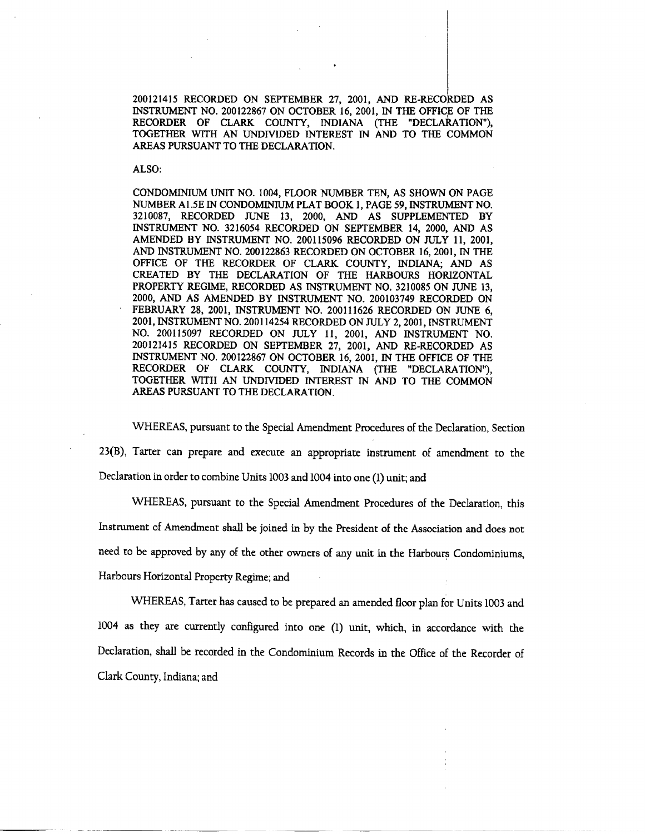200121415 RECORDED ON SEPTEMBER 27, 2001, AND RE-RECORDED AS INSTRUMENT NO. 200122867 ON OCTOBER 16, 2001, IN THE OFFICE OF THE RECORDER OF CLARK COUNTY, INDIANA (THE "DECLARATION"), TOGETHER WITH AN UNDIVIDED INTEREST IN AND TO THE COMMON AREAS PURSUANT TO THE DECLARATION.

ALSO:

CONDOMINIUM UNIT NO. 1004, FLOOR NUMBER TEN, AS SHOWN ON PAGE NUMBER A1.5E IN CONDOMINIUM PLAT BOOK 1, PAGE 59, INSTRUMENT NO. 3210087, RECORDED JUNE 13, 2000, AND AS SUPPLEMENTED BY INSTRUMENT NO. 3216054 RECORDED ON SEPTEMBER 14, 2000, AND AS AMENDED BY INSTRUMENT NO. 200115096 RECORDED ON JULY 11, 2001, AND INSTRUMENT NO. 200122863 RECORDED ON OCTOBER 16, 2001, IN THE OFFICE OF THE RECORDER OF CLARK COUNTY, INDIANA; AND AS CREATED BY THE DECLARATION OF THE HARBOURS HORIZONTAL PROPERTY REGIME, RECORDED AS INSTRUMENT NO. 3210085 ON JUNE 13, 2000, AND AS AMENDED BY INSTRUMENT NO. 200103749 RECORDED ON FEBRUARY 28, 2001, INSTRUMENT NO. 200111626 RECORDED ON JUNE 6, 2001, INSTRUMENT NO. 200114254 RECORDED ON JULY 2, 2001, INSTRUMENT NO. 200115097 RECORDED ON JULY 11, 2001, AND INSTRUMENT NO. 200121415 RECORDED ON SEPTEMBER 27, 2001, AND RE-RECORDED AS INSTRUMENT NO. 200122867 ON OCTOBER 16, 2001, IN THE OFFICE OF THE RECORDER OF CLARK COUNTY, INDIANA (THE "DECLARATION"), TOGETHER WITH AN UNDIVIDED INTEREST IN AND TO THE COMMON AREAS PURSUANT TO THE DECLARATION.

WHEREAS, pursuant to the Special Amendment Procedures of the Declaration, Section 23(B), Tarter can prepare and execute an appropriate instrument of amendment to the Declaration in order to combine Units 1003 and 1004 into one (1) unit; and

WHEREAS, pursuant to the Special Amendment Procedures of the Declaration, this Instrument of Amendment shall be joined in by the President of the Association and does not need to be approved by any of the other owners of any unit in the Harbours Condominiums, Harbours Horizontal Property Regime; and

WHEREAS, Tarter has caused to be prepared an amended floor plan for Units 1003 and 1004 as they are currently configured into one (1) unit, which, in accordance with the Declaration, shall be recorded in the Condominium Records in the Office of the Recorder of Clark County, Indiana; and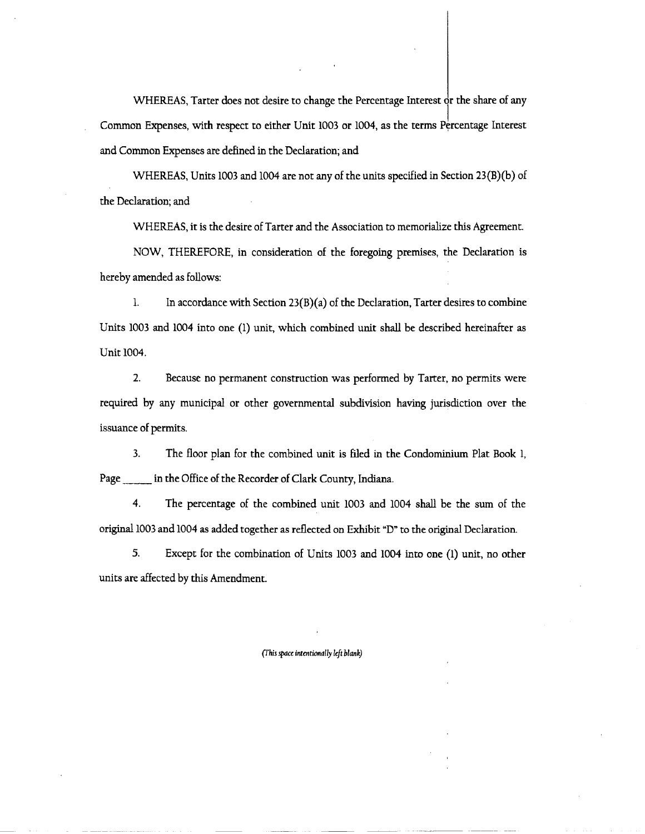WHEREAS, Tarter does not desire to change the Percentage Interest or the share of any Common Expenses, with respect to either Unit 1003 or 1004, as the terms Percentage Interest and Common Expenses are defined in the Declaration; and

WHEREAS, Units 1003 and 1004 are not any of the units specified in Section 23(B)(b) of the Declaration; and

WHEREAS, it is the desire of Tarter and the Association to memorialize this Agreement.

NOW, THEREFORE, in consideration of the foregoing premises, the Declaration is hereby amended as follows:

 $\mathbf{1}$ . In accordance with Section  $23(B)(a)$  of the Declaration, Tarter desires to combine Units 1003 and 1004 into one (1) unit, which combined unit shall be described hereinafter as Unit 1004.

 $2.$ Because no permanent construction was performed by Tarter, no permits were required by any municipal or other governmental subdivision having jurisdiction over the issuance of permits.

 $3.$ The floor plan for the combined unit is filed in the Condominium Plat Book 1, in the Office of the Recorder of Clark County, Indiana. Page

 $4.$ The percentage of the combined unit 1003 and 1004 shall be the sum of the original 1003 and 1004 as added together as reflected on Exhibit "D" to the original Declaration.

5. Except for the combination of Units 1003 and 1004 into one (1) unit, no other units are affected by this Amendment.

(This space intentionally left blank)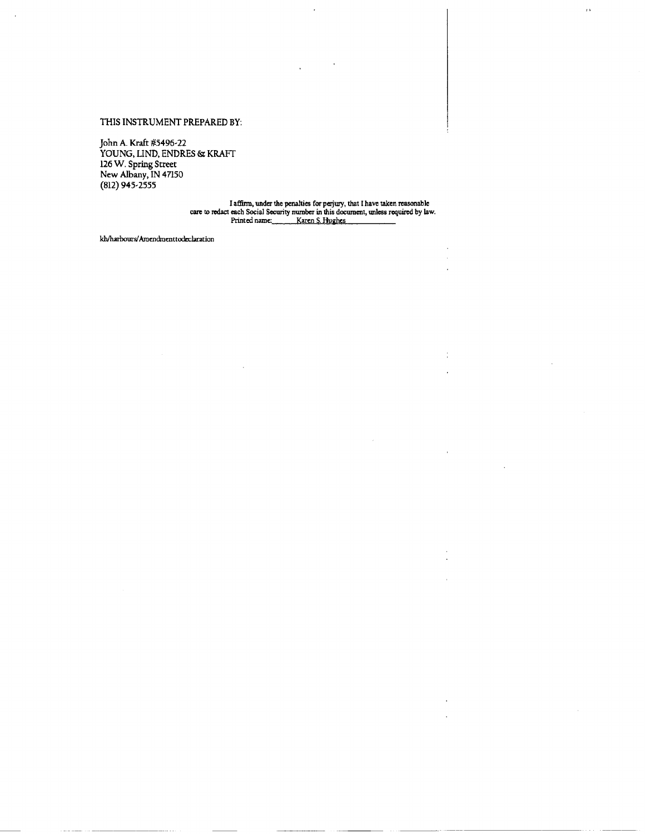## THIS INSTRUMENT PREPARED BY:

John A. Kraft #5496-22<br>YOUNG, LIND, ENDRES & KRAFT<br>126 W. Spring Street<br>New Albany, IN 47150<br>(812) 945-2555

 $\overline{I}$  ).

kh/harbours/Amendmenttodeclaration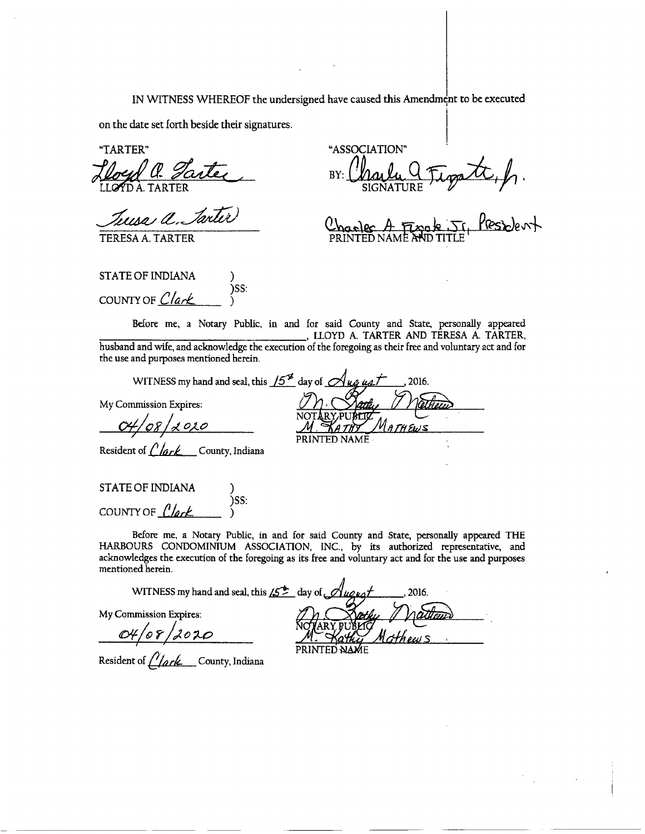IN WITNESS WHEREOF the undersigned have caused this Amendment to be executed

on the date set forth beside their signatures.

)SS:

"TARTER"

loyd a Tarter

Tuesa a Tarter

TERESA A. TARTER

**STATE OF INDIANA** 

COUNTY OF Clark

"ASSOCIATION" patt, h.<br>J. Pesident BY:

Before me, a Notary Public, in and for said County and State, personally appeared , LLOYD A. TARTER AND TERESA A. TARTER, husband and wife, and acknowledge the execution of the foregoing as their free and voluntary act and for the use and purposes mentioned herein.

My Commission Expires:

WITNESS my hand and seal, this  $15^{\frac{1}{2}}$  day of  $\mathcal A$ 2016. PRINTED NAMÉ

Resident of  $\mathcal{C}/\mathcal{G}/\mathcal{C}$  County, Indiana

**STATE OF INDIANA** )SS: COUNTY OF  $\int$  lark

Before me, a Notary Public, in and for said County and State, personally appeared THE HARBOURS CONDOMINIUM ASSOCIATION, INC., by its authorized representative, and acknowledges the execution of the foregoing as its free and voluntary act and for the use and purposes mentioned herein.

WITNESS my hand and seal, this  $15^{+}$  day of  $\mathcal O$ 

My Commission Expires:

 $O4/08/2020$ 

Resident of *Clark* County, Indiana